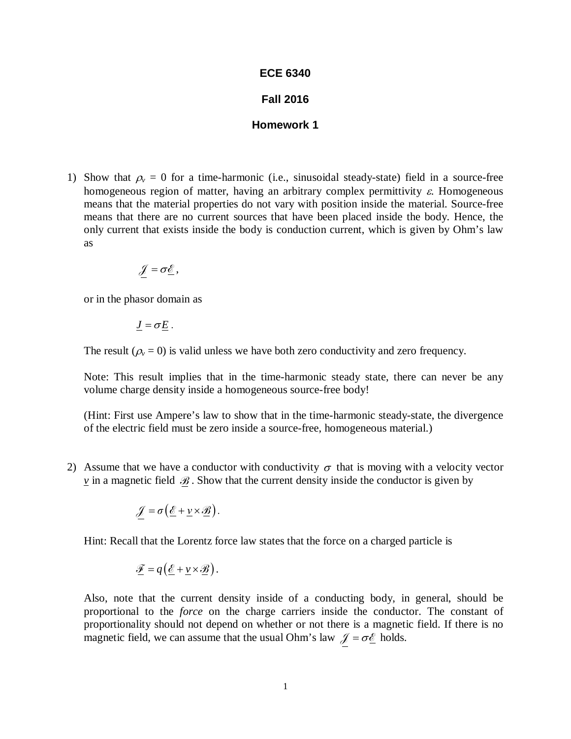## **ECE 6340**

## **Fall 2016**

## **Homework 1**

1) Show that  $\rho$ <sub>v</sub> = 0 for a time-harmonic (i.e., sinusoidal steady-state) field in a source-free homogeneous region of matter, having an arbitrary complex permittivity  $\varepsilon$ . Homogeneous means that the material properties do not vary with position inside the material. Source-free means that there are no current sources that have been placed inside the body. Hence, the only current that exists inside the body is conduction current, which is given by Ohm's law as

$$
\mathscr{J}=\sigma\underline{\mathscr{E}},
$$

or in the phasor domain as

$$
\underline{J}=\sigma\underline{E}.
$$

The result ( $\rho$ <sub>v</sub> = 0) is valid unless we have both zero conductivity and zero frequency.

Note: This result implies that in the time-harmonic steady state, there can never be any volume charge density inside a homogeneous source-free body!

(Hint: First use Ampere's law to show that in the time-harmonic steady-state, the divergence of the electric field must be zero inside a source-free, homogeneous material.)

2) Assume that we have a conductor with conductivity  $\sigma$  that is moving with a velocity vector  $\underline{v}$  in a magnetic field  $\mathscr{B}$ . Show that the current density inside the conductor is given by

$$
\mathscr{J} = \sigma\left(\underline{\mathscr{E}} + \underline{\nu} \times \underline{\mathscr{B}}\right).
$$

Hint: Recall that the Lorentz force law states that the force on a charged particle is

$$
\mathscr{F} = q\left(\underline{\mathscr{E}} + \underline{\nu} \times \underline{\mathscr{B}}\right).
$$

Also, note that the current density inside of a conducting body, in general, should be proportional to the *force* on the charge carriers inside the conductor. The constant of proportionality should not depend on whether or not there is a magnetic field. If there is no magnetic field, we can assume that the usual Ohm's law  $\mathcal{J} = \sigma \mathcal{L}$  holds.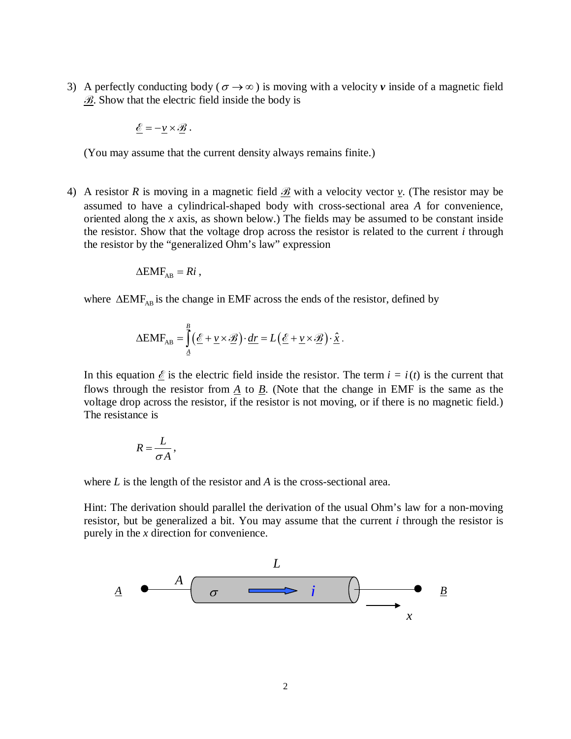3) A perfectly conducting body ( $\sigma \rightarrow \infty$ ) is moving with a velocity *v* inside of a magnetic field  $B$ . Show that the electric field inside the body is

$$
\underline{\mathscr{E}} = -\underline{\nu} \times \underline{\mathscr{B}} \ .
$$

(You may assume that the current density always remains finite.)

4) A resistor R is moving in a magnetic field  $\mathcal{B}$  with a velocity vector  $\gamma$ . (The resistor may be assumed to have a cylindrical-shaped body with cross-sectional area *A* for convenience, oriented along the *x* axis, as shown below.) The fields may be assumed to be constant inside the resistor. Show that the voltage drop across the resistor is related to the current *i* through the resistor by the "generalized Ohm's law" expression

$$
\Delta EMF_{AB}=Ri,
$$

where  $\Delta EMF_{AR}$  is the change in EMF across the ends of the resistor, defined by

$$
\Delta EMF_{AB} = \int_{A}^{B} \left( \underline{\mathscr{E}} + \underline{v} \times \underline{\mathscr{B}} \right) \cdot \underline{dr} = L \left( \underline{\mathscr{E}} + \underline{v} \times \underline{\mathscr{B}} \right) \cdot \underline{\hat{x}}.
$$

In this equation  $\mathcal{E}$  is the electric field inside the resistor. The term  $i = i(t)$  is the current that flows through the resistor from  $\underline{A}$  to  $\underline{B}$ . (Note that the change in EMF is the same as the voltage drop across the resistor, if the resistor is not moving, or if there is no magnetic field.) The resistance is

$$
R=\frac{L}{\sigma A},
$$

where *L* is the length of the resistor and *A* is the cross-sectional area.

Hint: The derivation should parallel the derivation of the usual Ohm's law for a non-moving resistor, but be generalized a bit. You may assume that the current *i* through the resistor is purely in the *x* direction for convenience.

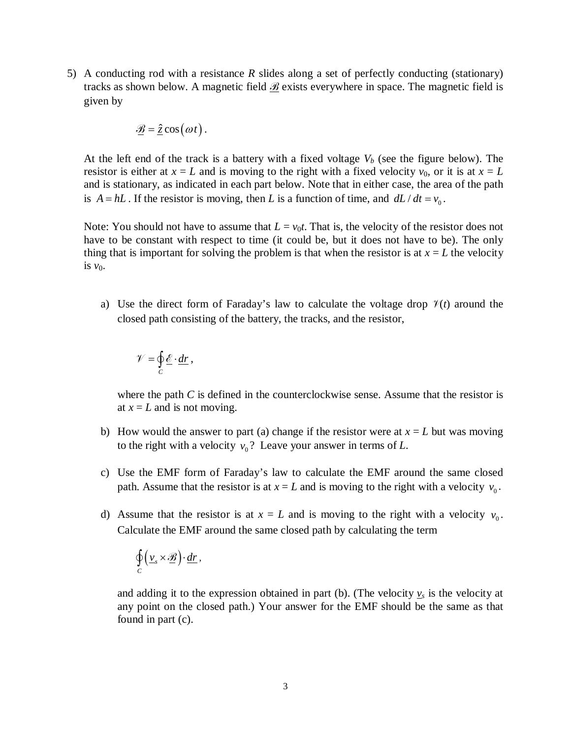5) A conducting rod with a resistance *R* slides along a set of perfectly conducting (stationary) tracks as shown below. A magnetic field  $\mathcal{B}$  exists everywhere in space. The magnetic field is given by

$$
\mathcal{B} = \hat{\underline{z}} \cos(\omega t).
$$

At the left end of the track is a battery with a fixed voltage  $V_b$  (see the figure below). The resistor is either at  $x = L$  and is moving to the right with a fixed velocity  $v_0$ , or it is at  $x = L$ and is stationary, as indicated in each part below. Note that in either case, the area of the path is  $A = hL$ . If the resistor is moving, then *L* is a function of time, and  $dL/dt = v_0$ .

Note: You should not have to assume that  $L = v_0 t$ . That is, the velocity of the resistor does not have to be constant with respect to time (it could be, but it does not have to be). The only thing that is important for solving the problem is that when the resistor is at  $x = L$  the velocity is  $v_0$ .

a) Use the direct form of Faraday's law to calculate the voltage drop  $\mathcal{V}(t)$  around the closed path consisting of the battery, the tracks, and the resistor,

$$
\mathscr{V}=\oint_C \underline{\mathscr{E}}\cdot \underline{dr}\,,
$$

where the path *C* is defined in the counterclockwise sense. Assume that the resistor is at  $x = L$  and is not moving.

- b) How would the answer to part (a) change if the resistor were at  $x = L$  but was moving to the right with a velocity  $v_0$ ? Leave your answer in terms of *L*.
- c) Use the EMF form of Faraday's law to calculate the EMF around the same closed path. Assume that the resistor is at  $x = L$  and is moving to the right with a velocity  $v_0$ .
- d) Assume that the resistor is at  $x = L$  and is moving to the right with a velocity  $v_0$ . Calculate the EMF around the same closed path by calculating the term

$$
\oint_C \left(\underline{v}_s \times \underline{\mathscr{B}}\right) \cdot \underline{dr}\,,
$$

and adding it to the expression obtained in part (b). (The velocity  $v_s$  is the velocity at any point on the closed path.) Your answer for the EMF should be the same as that found in part (c).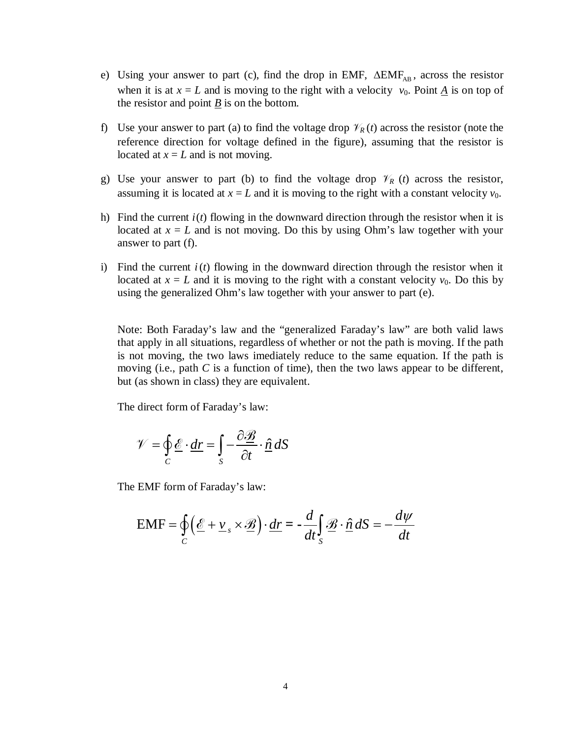- e) Using your answer to part (c), find the drop in EMF,  $\Delta EMF_{AB}$ , across the resistor when it is at  $x = L$  and is moving to the right with a velocity  $v_0$ . Point *A* is on top of the resistor and point *B* is on the bottom.
- f) Use your answer to part (a) to find the voltage drop  $\mathcal{V}_R(t)$  across the resistor (note the reference direction for voltage defined in the figure), assuming that the resistor is located at  $x = L$  and is not moving.
- g) Use your answer to part (b) to find the voltage drop  $\mathcal{V}_R$  (*t*) across the resistor, assuming it is located at  $x = L$  and it is moving to the right with a constant velocity  $v_0$ .
- h) Find the current  $i(t)$  flowing in the downward direction through the resistor when it is located at  $x = L$  and is not moving. Do this by using Ohm's law together with your answer to part (f).
- i) Find the current  $i(t)$  flowing in the downward direction through the resistor when it located at  $x = L$  and it is moving to the right with a constant velocity  $v_0$ . Do this by using the generalized Ohm's law together with your answer to part (e).

Note: Both Faraday's law and the "generalized Faraday's law" are both valid laws that apply in all situations, regardless of whether or not the path is moving. If the path is not moving, the two laws imediately reduce to the same equation. If the path is moving (i.e., path *C* is a function of time), then the two laws appear to be different, but (as shown in class) they are equivalent.

The direct form of Faraday's law:

$$
\mathcal{V} = \oint_C \underline{\mathcal{E}} \cdot \underline{dr} = \int_S -\frac{\partial \underline{\mathcal{B}}}{\partial t} \cdot \hat{\underline{n}} \, dS
$$

The EMF form of Faraday's law:

$$
EMF = \oint_C \left(\underline{\mathcal{E}} + \underline{v}_s \times \underline{\mathcal{B}}\right) \cdot \underline{dr} = -\frac{d}{dt} \int_S \underline{\mathcal{B}} \cdot \underline{\hat{n}} \, dS = -\frac{d\psi}{dt}
$$